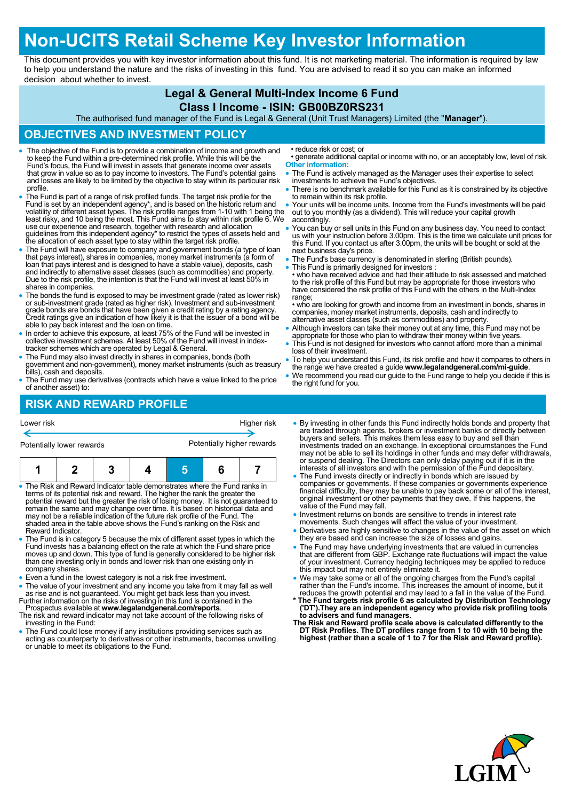# **Non-UCITS Retail Scheme Key Investor Information**

This document provides you with key investor information about this fund. It is not marketing material. The information is required by law to help you understand the nature and the risks of investing in this fund. You are advised to read it so you can make an informed decision about whether to invest.

### **Legal & General Multi-Index Income 6 Fund**

#### **Class I Income - ISIN: GB00BZ0RS231**

The authorised fund manager of the Fund is Legal & General (Unit Trust Managers) Limited (the "**Manager**").

#### **OBJECTIVES AND INVESTMENT POLICY**

- The objective of the Fund is to provide a combination of income and growth and to keep the Fund within a pre-determined risk profile. While this will be the Fund's focus, the Fund will invest in assets that generate income over assets that grow in value so as to pay income to investors. The Fund's potential gains and losses are likely to be limited by the objective to stay within its particular risk profile.
- The Fund is part of a range of risk profiled funds. The target risk profile for the Fund is set by an independent agency\*, and is based on the historic return and volatility of different asset types. The risk profile ranges from 1-10 with 1 being the least risky, and 10 being the most. This Fund aims to stay within risk profile 6. We use our experience and research, together with research and allocation guidelines from this independent agency\* to restrict the types of assets held and the allocation of each asset type to stay within the target risk profile.
- The Fund will have exposure to company and government bonds (a type of loan<br>that pays interest), shares in companies, money market instruments (a form of<br>loan that pays interest and is designed to have a stable value), d and indirectly to alternative asset classes (such as commodities) and property. Due to the risk profile, the intention is that the Fund will invest at least 50% in shares in companies.
- The bonds the fund is exposed to may be investment grade (rated as lower risk) or sub-investment grade (rated as higher risk). Investment and sub-investment grade bonds are bonds that have been given a credit rating by a able to pay back interest and the loan on time.
- In order to achieve this exposure, at least 75% of the Fund will be invested in collective investment schemes. At least 50% of the Fund will invest in index-tracker schemes which are operated by Legal & General.
- The Fund may also invest directly in shares in companies, bonds (both government and non-government), money market instruments (such as treasury bills), cash and deposits.
- The Fund may use derivatives (contracts which have a value linked to the price of another asset) to:

## **RISK AND REWARD PROFILE**

| Lower risk                | Higher risk                |
|---------------------------|----------------------------|
| Potentially lower rewards | Potentially higher rewards |
|                           |                            |

|  |  | $2 \mid 3 \mid$ |  | 4 5 1 |  |  |
|--|--|-----------------|--|-------|--|--|
|--|--|-----------------|--|-------|--|--|

- The Risk and Reward Indicator table demonstrates where the Fund ranks in terms of its potential risk and reward. The higher the rank the greater the potential reward but the greater the risk of losing money. It is not guaranteed to remain the same and may change over time. It is based on historical data and may not be a reliable indication of the future risk profile of the Fund. The shaded area in the table above shows the Fund's ranking on the Risk and Reward Indicator.
- The Fund is in category 5 because the mix of different asset types in which the Fund invests has a balancing effect on the rate at which the Fund share price moves up and down. This type of fund is generally considered to be higher risk than one investing only in bonds and lower risk than one existing only in company shares.
- Even a fund in the lowest category is not a risk free investment.
- The value of your investment and any income you take from it may fall as well as rise and is not guaranteed. You might get back less than you invest. Further information on the risks of investing in this fund is contained in the
- Prospectus available at **www.legalandgeneral.com/reports**. The risk and reward indicator may not take account of the following risks of
- investing in the Fund: The Fund could lose money if any institutions providing services such as
- acting as counterparty to derivatives or other instruments, becomes unwilling or unable to meet its obligations to the Fund.
- reduce risk or cost; or
- generate additional capital or income with no, or an acceptably low, level of risk. **Other information:**
- The Fund is actively managed as the Manager uses their expertise to select investments to achieve the Fund's objectives.
- There is no benchmark available for this Fund as it is constrained by its objective to remain within its risk profile.
- Your units will be income units. Income from the Fund's investments will be paid out to you monthly (as a dividend). This will reduce your capital growth accordingly.
- You can buy or sell units in this Fund on any business day. You need to contact us with your instruction before 3.00pm. This is the time we calculate unit prices for this Fund. If you contact us after 3.00pm, the units will be bought or sold at the next business day's price.
- The Fund's base currency is denominated in sterling (British pounds).
- This Fund is primarily designed for investors

• who have received advice and had their attitude to risk assessed and matched to the risk profile of this Fund but may be appropriate for those investors who have considered the risk profile of this Fund with the others in the Multi-Index range;

• who are looking for growth and income from an investment in bonds, shares in companies, money market instruments, deposits, cash and indirectly to alternative asset classes (such as commodities) and property.

- Although investors can take their money out at any time, this Fund may not be appropriate for those who plan to withdraw their money within five years.
- This Fund is not designed for investors who cannot afford more than a minimal loss of their investment.
- To help you understand this Fund, its risk profile and how it compares to others in the range we have created a guide **www.legalandgeneral.com/mi-guide**.
- We recommend you read our guide to the Fund range to help you decide if this is the right fund for you.
- By investing in other funds this Fund indirectly holds bonds and property that are traded through agents, brokers or investment banks or directly between buyers and sellers. This makes them less easy to buy and sell than investments traded on an exchange. In exceptional circumstances the Fund may not be able to sell its holdings in other funds and may defer withdrawals, or suspend dealing. The Directors can only delay paying out if it is in the interests of all investors and with the permission of the Fund depositary.
- The Fund invests directly or indirectly in bonds which are issued by companies or governments. If these companies or governments experience financial difficulty, they may be unable to pay back some or all of the interest, original investment or other payments that they owe. If this happens, the value of the Fund may fall.
- Investment returns on bonds are sensitive to trends in interest rate
- movements. Such changes will affect the value of your investment. Derivatives are highly sensitive to changes in the value of the asset on which they are based and can increase the size of losses and gains.
- The Fund may have underlying investments that are valued in currencies that are different from GBP. Exchange rate fluctuations will impact the value of your investment. Currency hedging techniques may be applied to reduce this impact but may not entirely eliminate it.
- We may take some or all of the ongoing charges from the Fund's capital<br>rather than the Fund's income. This increases the amount of income, but it<br>reduces the growth potential and may lead to a fall in the value of the Fu
- **\* The Fund targets risk profile 6 as calculated by Distribution Technology ('DT').They are an independent agency who provide risk profiling tools**
- **to advisers and fund managers. The Risk and Reward profile scale above is calculated differently to the DT Risk Profiles. The DT profiles range from 1 to 10 with 10 being the highest (rather than a scale of 1 to 7 for the Risk and Reward profile).**